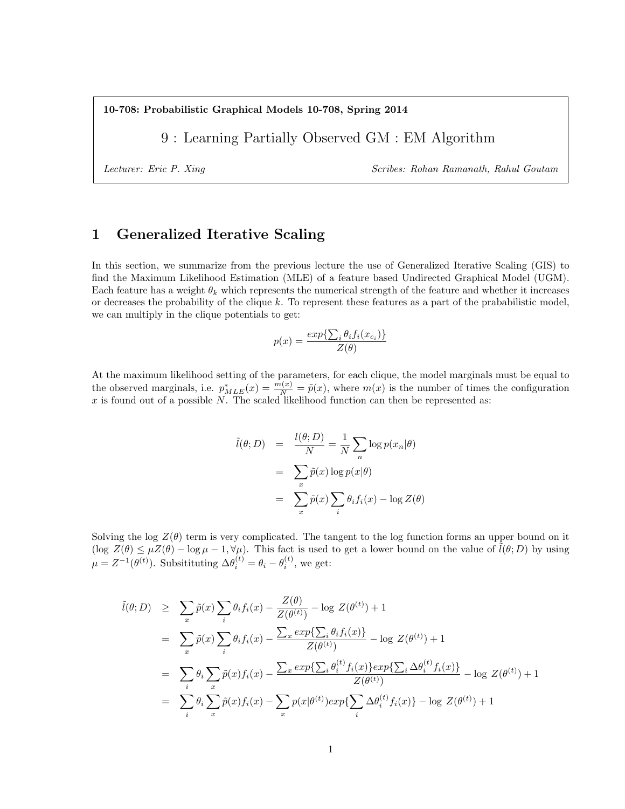10-708: Probabilistic Graphical Models 10-708, Spring 2014

9 : Learning Partially Observed GM : EM Algorithm

Lecturer: Eric P. Xing Scribes: Rohan Ramanath, Rahul Goutam

## 1 Generalized Iterative Scaling

In this section, we summarize from the previous lecture the use of Generalized Iterative Scaling (GIS) to find the Maximum Likelihood Estimation (MLE) of a feature based Undirected Graphical Model (UGM). Each feature has a weight  $\theta_k$  which represents the numerical strength of the feature and whether it increases or decreases the probability of the clique  $k$ . To represent these features as a part of the prababilistic model, we can multiply in the clique potentials to get:

$$
p(x) = \frac{exp{\{\sum_i \theta_i f_i(x_{c_i})\}}}{Z(\theta)}
$$

At the maximum likelihood setting of the parameters, for each clique, the model marginals must be equal to the observed marginals, i.e.  $p_{MLE}^*(x) = \frac{m(x)}{N} = \tilde{p}(x)$ , where  $m(x)$  is the number of times the configuration  $x$  is found out of a possible  $N$ . The scaled likelihood function can then be represented as:

$$
\tilde{l}(\theta; D) = \frac{l(\theta; D)}{N} = \frac{1}{N} \sum_{n} \log p(x_n | \theta)
$$

$$
= \sum_{x} \tilde{p}(x) \log p(x | \theta)
$$

$$
= \sum_{x} \tilde{p}(x) \sum_{i} \theta_i f_i(x) - \log Z(\theta)
$$

Solving the log  $Z(\theta)$  term is very complicated. The tangent to the log function forms an upper bound on it  $(\log Z(\theta) \leq \mu Z(\theta) - \log \mu - 1, \forall \mu)$ . This fact is used to get a lower bound on the value of  $l(\theta; D)$  by using  $\mu = Z^{-1}(\theta^{(t)})$ . Subsitituting  $\Delta \theta_i^{(t)} = \theta_i - \theta_i^{(t)}$ , we get:

$$
\tilde{l}(\theta; D) \geq \sum_{x} \tilde{p}(x) \sum_{i} \theta_{i} f_{i}(x) - \frac{Z(\theta)}{Z(\theta^{(t)})} - \log Z(\theta^{(t)}) + 1
$$
\n
$$
= \sum_{x} \tilde{p}(x) \sum_{i} \theta_{i} f_{i}(x) - \frac{\sum_{x} \exp\{\sum_{i} \theta_{i} f_{i}(x)\}}{Z(\theta^{(t)})} - \log Z(\theta^{(t)}) + 1
$$
\n
$$
= \sum_{i} \theta_{i} \sum_{x} \tilde{p}(x) f_{i}(x) - \frac{\sum_{x} \exp\{\sum_{i} \theta_{i}^{(t)} f_{i}(x)\} \exp\{\sum_{i} \Delta \theta_{i}^{(t)} f_{i}(x)\}}{Z(\theta^{(t)})} - \log Z(\theta^{(t)}) + 1
$$
\n
$$
= \sum_{i} \theta_{i} \sum_{x} \tilde{p}(x) f_{i}(x) - \sum_{x} p(x|\theta^{(t)}) \exp\{\sum_{i} \Delta \theta_{i}^{(t)} f_{i}(x)\} - \log Z(\theta^{(t)}) + 1
$$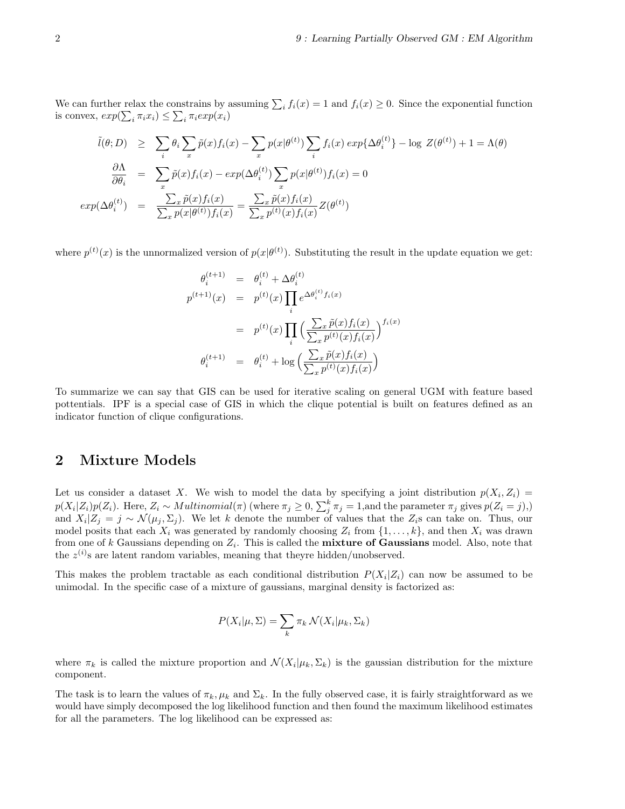We can further relax the constrains by assuming  $\sum_i f_i(x) = 1$  and  $f_i(x) \ge 0$ . Since the exponential function is convex,  $exp(\sum_i \pi_i x_i) \leq \sum_i \pi_i exp(x_i)$ 

$$
\tilde{l}(\theta; D) \geq \sum_{i} \theta_{i} \sum_{x} \tilde{p}(x) f_{i}(x) - \sum_{x} p(x|\theta^{(t)}) \sum_{i} f_{i}(x) \exp{\{\Delta \theta_{i}^{(t)}\}} - \log Z(\theta^{(t)}) + 1 = \Lambda(\theta)
$$
\n
$$
\frac{\partial \Lambda}{\partial \theta_{i}} = \sum_{x} \tilde{p}(x) f_{i}(x) - \exp(\Delta \theta_{i}^{(t)}) \sum_{x} p(x|\theta^{(t)}) f_{i}(x) = 0
$$
\n
$$
\exp(\Delta \theta_{i}^{(t)}) = \frac{\sum_{x} \tilde{p}(x) f_{i}(x)}{\sum_{x} p(x|\theta^{(t)}) f_{i}(x)} = \frac{\sum_{x} \tilde{p}(x) f_{i}(x)}{\sum_{x} p^{(t)}(x) f_{i}(x)} Z(\theta^{(t)})
$$

where  $p^{(t)}(x)$  is the unnormalized version of  $p(x|\theta^{(t)})$ . Substituting the result in the update equation we get:

$$
\theta_i^{(t+1)} = \theta_i^{(t)} + \Delta \theta_i^{(t)}
$$
\n
$$
p^{(t+1)}(x) = p^{(t)}(x) \prod_i e^{\Delta \theta_i^{(t)} f_i(x)}
$$
\n
$$
= p^{(t)}(x) \prod_i \left( \frac{\sum_x \tilde{p}(x) f_i(x)}{\sum_x p^{(t)}(x) f_i(x)} \right)^{f_i(x)}
$$
\n
$$
\theta_i^{(t+1)} = \theta_i^{(t)} + \log \left( \frac{\sum_x \tilde{p}(x) f_i(x)}{\sum_x p^{(t)}(x) f_i(x)} \right)
$$

To summarize we can say that GIS can be used for iterative scaling on general UGM with feature based pottentials. IPF is a special case of GIS in which the clique potential is built on features defined as an indicator function of clique configurations.

# 2 Mixture Models

Let us consider a dataset X. We wish to model the data by specifying a joint distribution  $p(X_i, Z_i)$  $p(X_i|Z_i)p(Z_i)$ . Here,  $Z_i \sim Multinomial(\pi)$  (where  $\pi_j \geq 0$ ,  $\sum_j^k \pi_j = 1$ , and the parameter  $\pi_j$  gives  $p(Z_i = j)$ ,) and  $X_i|Z_j = j \sim \mathcal{N}(\mu_j, \Sigma_j)$ . We let k denote the number of values that the  $Z_i$ s can take on. Thus, our model posits that each  $X_i$  was generated by randomly choosing  $Z_i$  from  $\{1, \ldots, k\}$ , and then  $X_i$  was drawn from one of k Gaussians depending on  $Z_i$ . This is called the **mixture of Gaussians** model. Also, note that the  $z^{(i)}$ s are latent random variables, meaning that theyre hidden/unobserved.

This makes the problem tractable as each conditional distribution  $P(X_i|Z_i)$  can now be assumed to be unimodal. In the specific case of a mixture of gaussians, marginal density is factorized as:

$$
P(X_i|\mu, \Sigma) = \sum_k \pi_k \mathcal{N}(X_i|\mu_k, \Sigma_k)
$$

where  $\pi_k$  is called the mixture proportion and  $\mathcal{N}(X_i|\mu_k, \Sigma_k)$  is the gaussian distribution for the mixture component.

The task is to learn the values of  $\pi_k, \mu_k$  and  $\Sigma_k$ . In the fully observed case, it is fairly straightforward as we would have simply decomposed the log likelihood function and then found the maximum likelihood estimates for all the parameters. The log likelihood can be expressed as: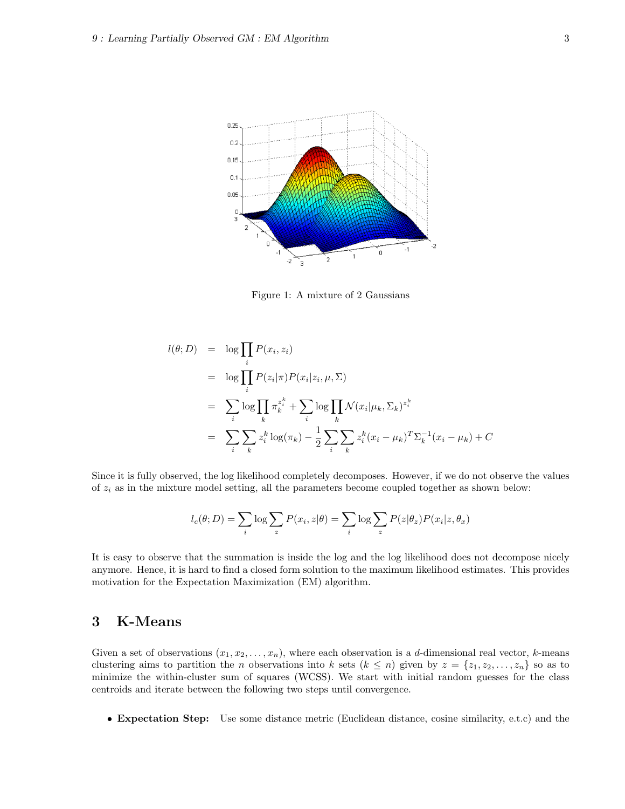

Figure 1: A mixture of 2 Gaussians

$$
l(\theta; D) = \log \prod_{i} P(x_i, z_i)
$$
  
\n
$$
= \log \prod_{i} P(z_i | \pi) P(x_i | z_i, \mu, \Sigma)
$$
  
\n
$$
= \sum_{i} \log \prod_{k} \pi_k^{z_i^k} + \sum_{i} \log \prod_{k} \mathcal{N}(x_i | \mu_k, \Sigma_k)^{z_i^k}
$$
  
\n
$$
= \sum_{i} \sum_{k} z_i^k \log(\pi_k) - \frac{1}{2} \sum_{i} \sum_{k} z_i^k (x_i - \mu_k)^T \Sigma_k^{-1} (x_i - \mu_k) + C
$$

Since it is fully observed, the log likelihood completely decomposes. However, if we do not observe the values of  $z_i$  as in the mixture model setting, all the parameters become coupled together as shown below:

$$
l_c(\theta; D) = \sum_i \log \sum_z P(x_i, z | \theta) = \sum_i \log \sum_z P(z | \theta_z) P(x_i | z, \theta_x)
$$

It is easy to observe that the summation is inside the log and the log likelihood does not decompose nicely anymore. Hence, it is hard to find a closed form solution to the maximum likelihood estimates. This provides motivation for the Expectation Maximization (EM) algorithm.

# 3 K-Means

Given a set of observations  $(x_1, x_2, \ldots, x_n)$ , where each observation is a d-dimensional real vector, k-means clustering aims to partition the n observations into k sets  $(k \leq n)$  given by  $z = \{z_1, z_2, \ldots, z_n\}$  so as to minimize the within-cluster sum of squares (WCSS). We start with initial random guesses for the class centroids and iterate between the following two steps until convergence.

• Expectation Step: Use some distance metric (Euclidean distance, cosine similarity, e.t.c) and the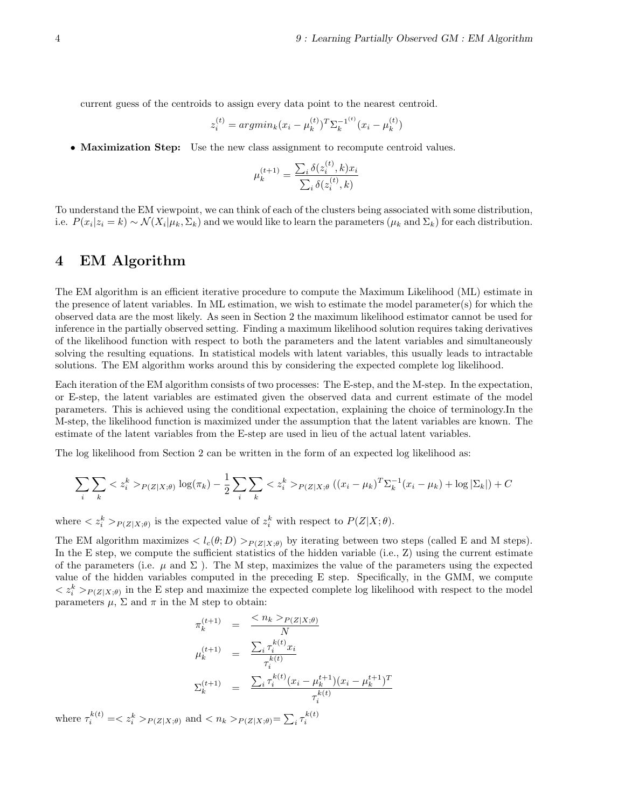current guess of the centroids to assign every data point to the nearest centroid.

$$
z_i^{(t)} = argmin_k (x_i - \mu_k^{(t)})^T \Sigma_k^{-1^{(t)}} (x_i - \mu_k^{(t)})
$$

• Maximization Step: Use the new class assignment to recompute centroid values.

$$
\mu_k^{(t+1)} = \frac{\sum_i \delta(z_i^{(t)}, k) x_i}{\sum_i \delta(z_i^{(t)}, k)}
$$

To understand the EM viewpoint, we can think of each of the clusters being associated with some distribution, i.e.  $P(x_i|z_i = k) \sim \mathcal{N}(X_i|\mu_k, \Sigma_k)$  and we would like to learn the parameters  $(\mu_k \text{ and } \Sigma_k)$  for each distribution.

## 4 EM Algorithm

The EM algorithm is an efficient iterative procedure to compute the Maximum Likelihood (ML) estimate in the presence of latent variables. In ML estimation, we wish to estimate the model parameter(s) for which the observed data are the most likely. As seen in Section 2 the maximum likelihood estimator cannot be used for inference in the partially observed setting. Finding a maximum likelihood solution requires taking derivatives of the likelihood function with respect to both the parameters and the latent variables and simultaneously solving the resulting equations. In statistical models with latent variables, this usually leads to intractable solutions. The EM algorithm works around this by considering the expected complete log likelihood.

Each iteration of the EM algorithm consists of two processes: The E-step, and the M-step. In the expectation, or E-step, the latent variables are estimated given the observed data and current estimate of the model parameters. This is achieved using the conditional expectation, explaining the choice of terminology.In the M-step, the likelihood function is maximized under the assumption that the latent variables are known. The estimate of the latent variables from the E-step are used in lieu of the actual latent variables.

The log likelihood from Section 2 can be written in the form of an expected log likelihood as:

$$
\sum_{i} \sum_{k} \langle z_{i}^{k} \rangle_{P(Z|X;\theta)} \log(\pi_{k}) - \frac{1}{2} \sum_{i} \sum_{k} \langle z_{i}^{k} \rangle_{P(Z|X;\theta)} ((x_{i} - \mu_{k})^{T} \Sigma_{k}^{-1} (x_{i} - \mu_{k}) + \log |\Sigma_{k}|) + C
$$

where  $\langle z_i^k\rangle_{P(Z|X;\theta)}$  is the expected value of  $z_i^k$  with respect to  $P(Z|X;\theta)$ .

The EM algorithm maximizes  $\langle l_c(\theta; D) \rangle_{P(Z|X;\theta)}$  by iterating between two steps (called E and M steps). In the E step, we compute the sufficient statistics of the hidden variable  $(i.e., Z)$  using the current estimate of the parameters (i.e.  $\mu$  and  $\Sigma$ ). The M step, maximizes the value of the parameters using the expected value of the hidden variables computed in the preceding E step. Specifically, in the GMM, we compute  $\langle z_i^k\rangle_{P(Z|X;\theta)}$  in the E step and maximize the expected complete log likelihood with respect to the model parameters  $\mu$ ,  $\Sigma$  and  $\pi$  in the M step to obtain:

$$
\pi_k^{(t+1)} = \frac{\langle n_k \rangle_{P(Z|X;\theta)}}{N}
$$
\n
$$
\mu_k^{(t+1)} = \frac{\sum_i \tau_i^{k(t)} x_i}{\tau_i^{k(t)}}
$$
\n
$$
\Sigma_k^{(t+1)} = \frac{\sum_i \tau_i^{k(t)} (x_i - \mu_k^{t+1})(x_i - \mu_k^{t+1})^T}{\tau_i^{k(t)}}
$$

where  $\tau_i^{k(t)} = \langle z_i^k \rangle_{P(Z|X;\theta)}$  and  $\langle n_k \rangle_{P(Z|X;\theta)} = \sum_i \tau_i^{k(t)}$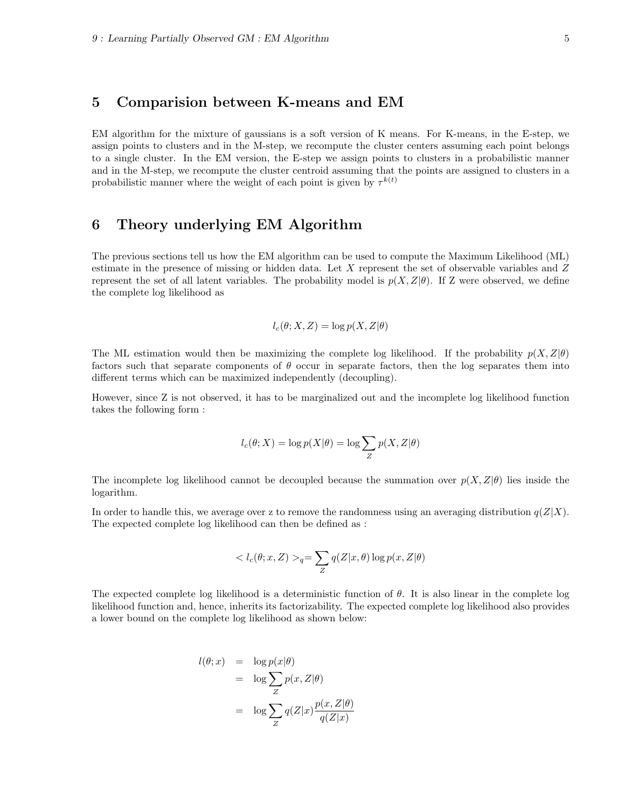### 5 Comparision between K-means and EM

EM algorithm for the mixture of gaussians is a soft version of K means. For K-means, in the E-step, we assign points to clusters and in the M-step, we recompute the cluster centers assuming each point belongs to a single cluster. In the EM version, the E-step we assign points to clusters in a probabilistic manner and in the M-step, we recompute the cluster centroid assuming that the points are assigned to clusters in a probabilistic manner where the weight of each point is given by  $\tau^{k(t)}$ 

## 6 Theory underlying EM Algorithm

The previous sections tell us how the EM algorithm can be used to compute the Maximum Likelihood (ML) estimate in the presence of missing or hidden data. Let X represent the set of observable variables and Z represent the set of all latent variables. The probability model is  $p(X, Z|\theta)$ . If Z were observed, we define the complete log likelihood as

$$
l_c(\theta; X, Z) = \log p(X, Z | \theta)
$$

The ML estimation would then be maximizing the complete log likelihood. If the probability  $p(X, Z | \theta)$ factors such that separate components of  $\theta$  occur in separate factors, then the log separates them into different terms which can be maximized independently (decoupling).

However, since Z is not observed, it has to be marginalized out and the incomplete log likelihood function takes the following form :

$$
l_c(\theta;X) = \log p(X|\theta) = \log \sum_{Z} p(X,Z|\theta)
$$

The incomplete log likelihood cannot be decoupled because the summation over  $p(X, Z|\theta)$  lies inside the logarithm.

In order to handle this, we average over z to remove the randomness using an averaging distribution  $q(Z|X)$ . The expected complete log likelihood can then be defined as :

$$
\langle l_c(\theta; x, Z) \rangle_q = \sum_Z q(Z|x, \theta) \log p(x, Z|\theta)
$$

The expected complete log likelihood is a deterministic function of  $\theta$ . It is also linear in the complete log likelihood function and, hence, inherits its factorizability. The expected complete log likelihood also provides a lower bound on the complete log likelihood as shown below:

$$
l(\theta; x) = \log p(x|\theta)
$$
  
=  $\log \sum_{Z} p(x, Z|\theta)$   
=  $\log \sum_{Z} q(Z|x) \frac{p(x, Z|\theta)}{q(Z|x)}$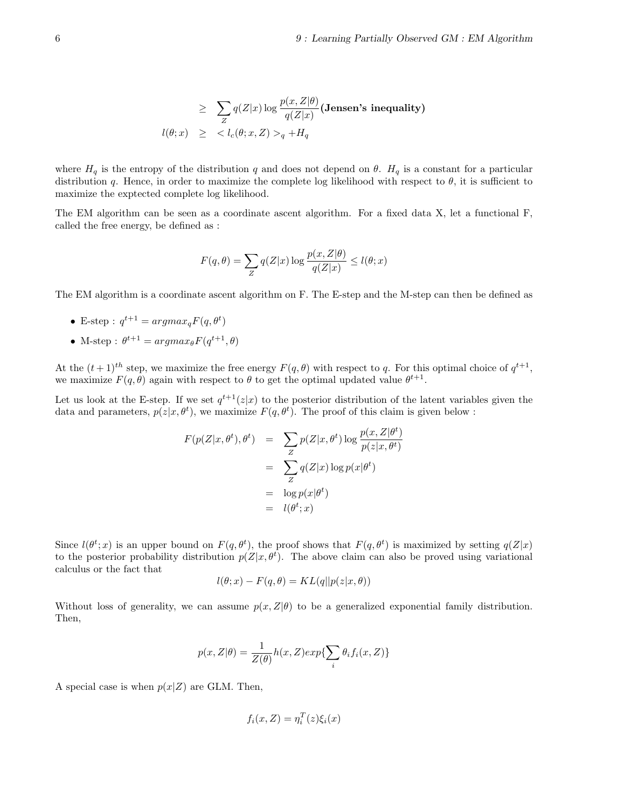$$
\geq \sum_{Z} q(Z|x) \log \frac{p(x, Z|\theta)}{q(Z|x)} (\text{Jensen's inequality})
$$
  

$$
l(\theta; x) \geq \langle l_c(\theta; x, Z) \rangle_q + H_q
$$

where  $H_q$  is the entropy of the distribution q and does not depend on  $\theta$ .  $H_q$  is a constant for a particular distribution q. Hence, in order to maximize the complete log likelihood with respect to  $\theta$ , it is sufficient to maximize the exptected complete log likelihood.

The EM algorithm can be seen as a coordinate ascent algorithm. For a fixed data X, let a functional F, called the free energy, be defined as :

$$
F(q, \theta) = \sum_{Z} q(Z|x) \log \frac{p(x, Z|\theta)}{q(Z|x)} \le l(\theta; x)
$$

The EM algorithm is a coordinate ascent algorithm on F. The E-step and the M-step can then be defined as

- E-step :  $q^{t+1} = argmax_q F(q, \theta^t)$
- M-step:  $\theta^{t+1} = argmax_{\theta} F(q^{t+1}, \theta)$

At the  $(t+1)^{th}$  step, we maximize the free energy  $F(q, \theta)$  with respect to q. For this optimal choice of  $q^{t+1}$ , we maximize  $F(q, \theta)$  again with respect to  $\theta$  to get the optimal updated value  $\theta^{t+1}$ .

Let us look at the E-step. If we set  $q^{t+1}(z|x)$  to the posterior distribution of the latent variables given the data and parameters,  $p(z|x, \theta^t)$ , we maximize  $F(q, \theta^t)$ . The proof of this claim is given below :

$$
F(p(Z|x, \theta^t), \theta^t) = \sum_{Z} p(Z|x, \theta^t) \log \frac{p(x, Z|\theta^t)}{p(z|x, \theta^t)}
$$
  
= 
$$
\sum_{Z} q(Z|x) \log p(x|\theta^t)
$$
  
= 
$$
\log p(x|\theta^t)
$$
  
= 
$$
l(\theta^t; x)
$$

Since  $l(\theta^t; x)$  is an upper bound on  $F(q, \theta^t)$ , the proof shows that  $F(q, \theta^t)$  is maximized by setting  $q(Z|x)$ to the posterior probability distribution  $p(Z|x, \theta^t)$ . The above claim can also be proved using variational calculus or the fact that

$$
l(\theta; x) - F(q, \theta) = KL(q||p(z|x, \theta))
$$

Without loss of generality, we can assume  $p(x, Z | \theta)$  to be a generalized exponential family distribution. Then,

$$
p(x, Z | \theta) = \frac{1}{Z(\theta)} h(x, Z) exp{\sum_{i} \theta_{i} f_{i}(x, Z)}
$$

A special case is when  $p(x|Z)$  are GLM. Then,

$$
f_i(x, Z) = \eta_i^T(z)\xi_i(x)
$$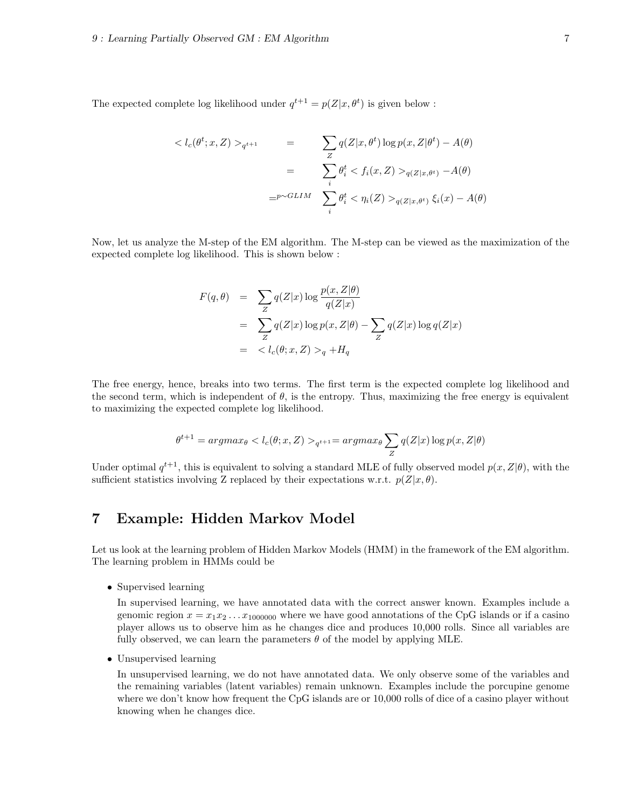The expected complete log likelihood under  $q^{t+1} = p(Z|x, \theta^t)$  is given below :

$$
\langle l_c(\theta^t; x, Z) \rangle_{q^{t+1}} = \sum_Z q(Z|x, \theta^t) \log p(x, Z|\theta^t) - A(\theta)
$$

$$
= \sum_i \theta_i^t \langle f_i(x, Z) \rangle_{q(Z|x, \theta^t)} - A(\theta)
$$

$$
= \sum_i \theta_i^t \langle f_i(x, Z) \rangle_{q(Z|x, \theta^t)} - A(\theta)
$$

Now, let us analyze the M-step of the EM algorithm. The M-step can be viewed as the maximization of the expected complete log likelihood. This is shown below :

$$
F(q, \theta) = \sum_{Z} q(Z|x) \log \frac{p(x, Z|\theta)}{q(Z|x)}
$$
  
= 
$$
\sum_{Z} q(Z|x) \log p(x, Z|\theta) - \sum_{Z} q(Z|x) \log q(Z|x)
$$
  
= 
$$
\langle l_c(\theta; x, Z) \rangle_q + H_q
$$

The free energy, hence, breaks into two terms. The first term is the expected complete log likelihood and the second term, which is independent of  $\theta$ , is the entropy. Thus, maximizing the free energy is equivalent to maximizing the expected complete log likelihood.

$$
\theta^{t+1} = argmax_{\theta} < l_c(\theta; x, Z) >_{q^{t+1}} = argmax_{\theta} \sum_{Z} q(Z|x) \log p(x, Z|\theta)
$$

Under optimal  $q^{t+1}$ , this is equivalent to solving a standard MLE of fully observed model  $p(x, Z | \theta)$ , with the sufficient statistics involving Z replaced by their expectations w.r.t.  $p(Z|x, \theta)$ .

# 7 Example: Hidden Markov Model

Let us look at the learning problem of Hidden Markov Models (HMM) in the framework of the EM algorithm. The learning problem in HMMs could be

• Supervised learning

In supervised learning, we have annotated data with the correct answer known. Examples include a genomic region  $x = x_1x_2...x_{1000000}$  where we have good annotations of the CpG islands or if a casino player allows us to observe him as he changes dice and produces 10,000 rolls. Since all variables are fully observed, we can learn the parameters  $\theta$  of the model by applying MLE.

• Unsupervised learning

In unsupervised learning, we do not have annotated data. We only observe some of the variables and the remaining variables (latent variables) remain unknown. Examples include the porcupine genome where we don't know how frequent the CpG islands are or 10,000 rolls of dice of a casino player without knowing when he changes dice.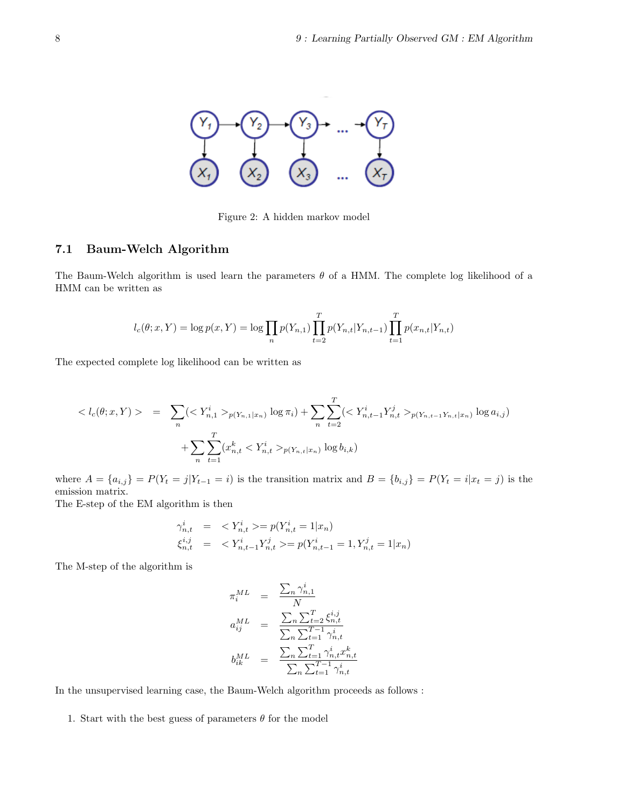

Figure 2: A hidden markov model

#### 7.1 Baum-Welch Algorithm

The Baum-Welch algorithm is used learn the parameters  $\theta$  of a HMM. The complete log likelihood of a HMM can be written as

$$
l_c(\theta; x, Y) = \log p(x, Y) = \log \prod_n p(Y_{n,1}) \prod_{t=2}^T p(Y_{n,t} | Y_{n,t-1}) \prod_{t=1}^T p(x_{n,t} | Y_{n,t})
$$

The expected complete log likelihood can be written as

$$
\langle l_c(\theta; x, Y) \rangle = \sum_n (\langle Y_{n,1}^i \rangle_{p(Y_{n,1}|x_n)} \log \pi_i) + \sum_n \sum_{t=2}^T (\langle Y_{n,t-1}^i Y_{n,t}^j \rangle_{p(Y_{n,t-1}Y_{n,t}|x_n)} \log a_{i,j}) + \sum_n \sum_{t=1}^T (x_{n,t}^k \langle Y_{n,t}^i \rangle_{p(Y_{n,t}|x_n)} \log b_{i,k})
$$

where  $A = \{a_{i,j}\} = P(Y_t = j | Y_{t-1} = i)$  is the transition matrix and  $B = \{b_{i,j}\} = P(Y_t = i | x_t = j)$  is the emission matrix.

The E-step of the EM algorithm is then

$$
\begin{aligned}\n\gamma_{n,t}^i &= & < Y_{n,t}^i >= p(Y_{n,t}^i = 1 | x_n) \\
\xi_{n,t}^{i,j} &= & < Y_{n,t-1}^i Y_{n,t}^j >= p(Y_{n,t-1}^i = 1, Y_{n,t}^j = 1 | x_n)\n\end{aligned}
$$

The M-step of the algorithm is

$$
\begin{array}{rcl} \pi_i^{ML} & = & \frac{\sum_n \gamma_{n,1}^i}{N} \\ a_{ij}^{ML} & = & \frac{\sum_n \sum_{t=2}^T \xi_{n,t}^{i,j}}{\sum_n \sum_{t=1}^{T-1} \gamma_{n,t}^i} \\ b_{ik}^{ML} & = & \frac{\sum_n \sum_{t=1}^T \gamma_{n,t}^i x_{n,t}^k}{\sum_n \sum_{t=1}^{T-1} \gamma_{n,t}^i} \end{array}
$$

In the unsupervised learning case, the Baum-Welch algorithm proceeds as follows :

1. Start with the best guess of parameters  $\theta$  for the model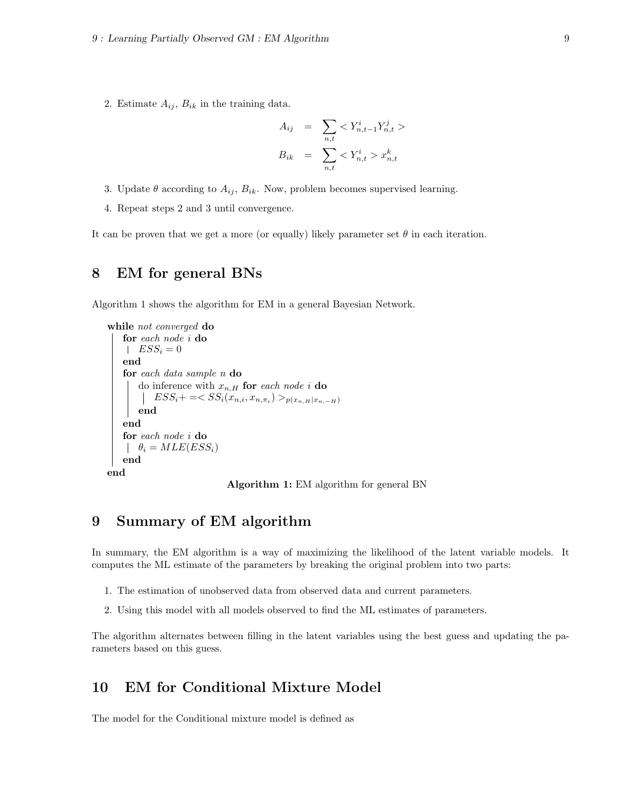2. Estimate  $A_{ij}$ ,  $B_{ik}$  in the training data.

$$
A_{ij} = \sum_{n,t} \langle Y_{n,t-1}^i Y_{n,t}^j \rangle
$$
  

$$
B_{ik} = \sum_{n,t} \langle Y_{n,t}^i \rangle x_{n,t}^k
$$

- 3. Update  $\theta$  according to  $A_{ij}$ ,  $B_{ik}$ . Now, problem becomes supervised learning.
- 4. Repeat steps 2 and 3 until convergence.

It can be proven that we get a more (or equally) likely parameter set  $\theta$  in each iteration.

## 8 EM for general BNs

Algorithm 1 shows the algorithm for EM in a general Bayesian Network.

```
while not converged do
   for each node i do
    ESS_i = 0end
   for each data sample n do
       do inference with x_{n,H} for each node i do
           ESS_i += < SS_i(x_{n,i}, x_{n,\pi_i}) >_{p(x_{n,H}|x_{n,-H})}end
   end
   for each node i do
    \theta_i = MLE(ESS_i)end
end
```
Algorithm 1: EM algorithm for general BN

# 9 Summary of EM algorithm

In summary, the EM algorithm is a way of maximizing the likelihood of the latent variable models. It computes the ML estimate of the parameters by breaking the original problem into two parts:

- 1. The estimation of unobserved data from observed data and current parameters.
- 2. Using this model with all models observed to find the ML estimates of parameters.

The algorithm alternates between filling in the latent variables using the best guess and updating the parameters based on this guess.

## 10 EM for Conditional Mixture Model

The model for the Conditional mixture model is defined as